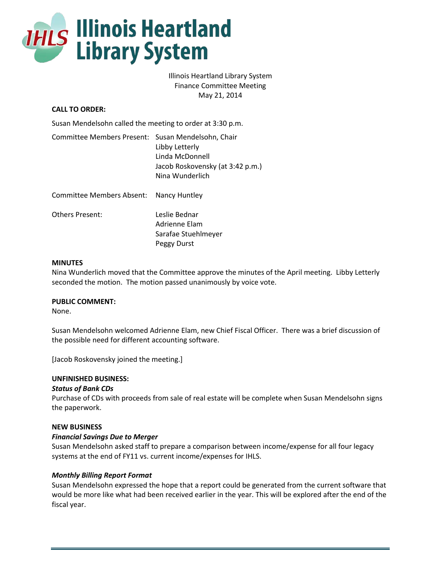

# Illinois Heartland Library System Finance Committee Meeting May 21, 2014

# **CALL TO ORDER:**

Susan Mendelsohn called the meeting to order at 3:30 p.m.

| Committee Members Present: Susan Mendelsohn, Chair |                                  |
|----------------------------------------------------|----------------------------------|
|                                                    | Libby Letterly                   |
|                                                    | Linda McDonnell                  |
|                                                    | Jacob Roskovensky (at 3:42 p.m.) |
|                                                    | Nina Wunderlich                  |
| Committee Members Absent: Nancy Huntley            |                                  |

| Others Present: | Leslie Bednar       |
|-----------------|---------------------|
|                 | Adrienne Elam       |
|                 | Sarafae Stuehlmeyer |
|                 | Peggy Durst         |

#### **MINUTES**

Nina Wunderlich moved that the Committee approve the minutes of the April meeting. Libby Letterly seconded the motion. The motion passed unanimously by voice vote.

#### **PUBLIC COMMENT:**

None.

Susan Mendelsohn welcomed Adrienne Elam, new Chief Fiscal Officer. There was a brief discussion of the possible need for different accounting software.

[Jacob Roskovensky joined the meeting.]

### **UNFINISHED BUSINESS:**

### *Status of Bank CDs*

Purchase of CDs with proceeds from sale of real estate will be complete when Susan Mendelsohn signs the paperwork.

#### **NEW BUSINESS**

#### *Financial Savings Due to Merger*

Susan Mendelsohn asked staff to prepare a comparison between income/expense for all four legacy systems at the end of FY11 vs. current income/expenses for IHLS.

#### *Monthly Billing Report Format*

Susan Mendelsohn expressed the hope that a report could be generated from the current software that would be more like what had been received earlier in the year. This will be explored after the end of the fiscal year.